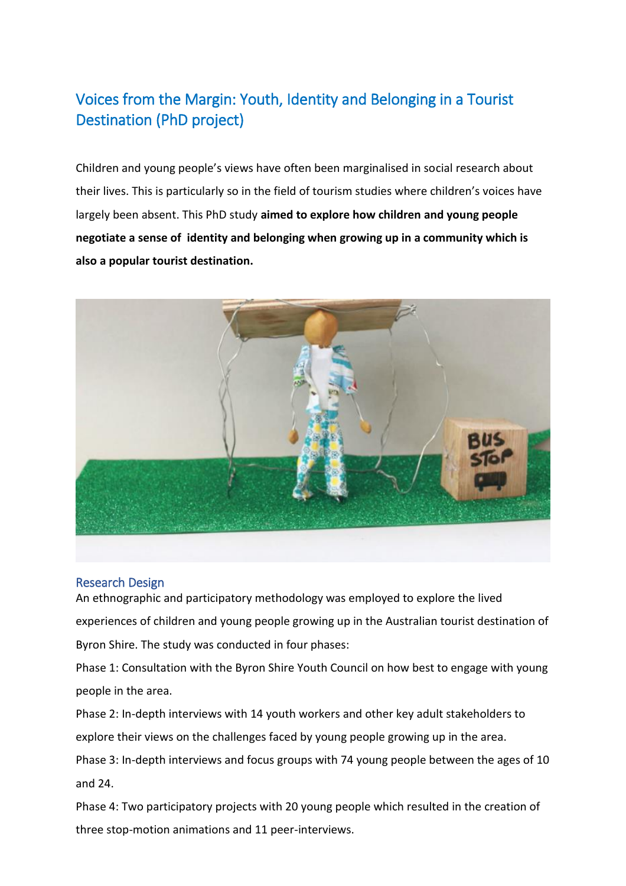# [Voices from the Margin: Youth, Identity and Belonging in a Tourist](http://epubs.scu.edu.au/theses/542/)  [Destination](http://epubs.scu.edu.au/theses/542/) (PhD project)

Children and young people's views have often been marginalised in social research about their lives. This is particularly so in the field of tourism studies where children's voices have largely been absent. This PhD study **aimed to explore how children and young people negotiate a sense of identity and belonging when growing up in a community which is also a popular tourist destination.**



## Research Design

An ethnographic and participatory methodology was employed to explore the lived experiences of children and young people growing up in the Australian tourist destination of Byron Shire. The study was conducted in four phases:

Phase 1: Consultation with the Byron Shire Youth Council on how best to engage with young people in the area.

Phase 2: In-depth interviews with 14 youth workers and other key adult stakeholders to explore their views on the challenges faced by young people growing up in the area.

Phase 3: In-depth interviews and focus groups with 74 young people between the ages of 10 and 24.

Phase 4: Two participatory projects with 20 young people which resulted in the creation of three stop-motion animations and 11 peer-interviews.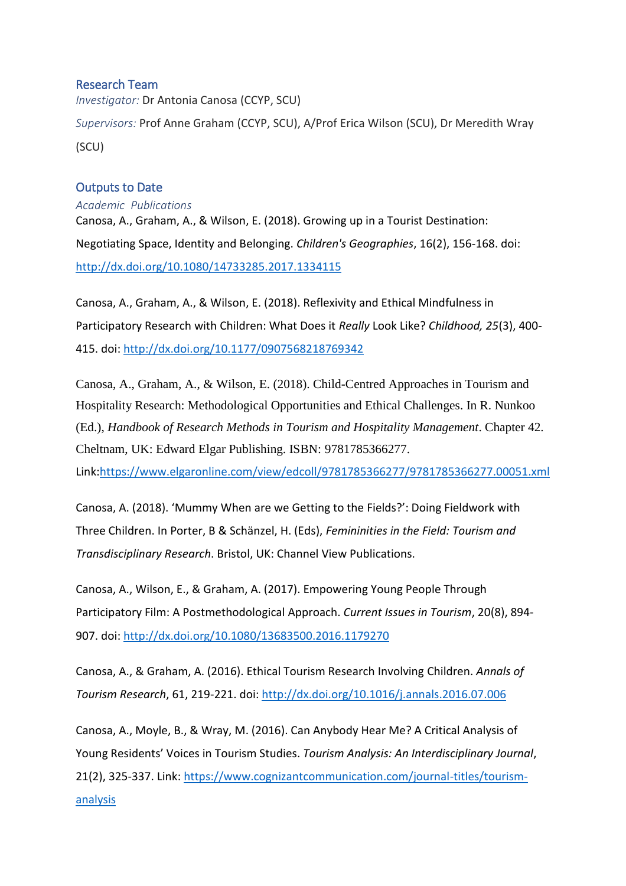## Research Team

*Investigator:* Dr Antonia Canosa (CCYP, SCU) *Supervisors:* Prof Anne Graham (CCYP, SCU), A/Prof Erica Wilson (SCU), Dr Meredith Wray (SCU)

## Outputs to Date

*Academic Publications* Canosa, A., Graham, A., & Wilson, E. (2018). Growing up in a Tourist Destination: Negotiating Space, Identity and Belonging. *Children's Geographies*, 16(2), 156-168. doi: <http://dx.doi.org/10.1080/14733285.2017.1334115>

Canosa, A., Graham, A., & Wilson, E. (2018). Reflexivity and Ethical Mindfulness in Participatory Research with Children: What Does it *Really* Look Like? *Childhood, 25*(3), 400- 415. doi:<http://dx.doi.org/10.1177/0907568218769342>

Canosa, A., Graham, A., & Wilson, E. (2018). Child-Centred Approaches in Tourism and Hospitality Research: Methodological Opportunities and Ethical Challenges. In R. Nunkoo (Ed.), *Handbook of Research Methods in Tourism and Hospitality Management*. Chapter 42. Cheltnam, UK: Edward Elgar Publishing. ISBN: 9781785366277. Link[:https://www.elgaronline.com/view/edcoll/9781785366277/9781785366277.00051.xml](https://www.elgaronline.com/view/edcoll/9781785366277/9781785366277.00051.xml)

Canosa, A. (2018). 'Mummy When are we Getting to the Fields?': Doing Fieldwork with Three Children. In Porter, B & Schänzel, H. (Eds), *Femininities in the Field: Tourism and Transdisciplinary Research*. Bristol, UK: Channel View Publications.

Canosa, A., Wilson, E., & Graham, A. (2017). Empowering Young People Through Participatory Film: A Postmethodological Approach. *Current Issues in Tourism*, 20(8), 894- 907. doi:<http://dx.doi.org/10.1080/13683500.2016.1179270>

Canosa, A., & Graham, A. (2016). Ethical Tourism Research Involving Children. *Annals of Tourism Research*, 61, 219-221. doi:<http://dx.doi.org/10.1016/j.annals.2016.07.006>

Canosa, A., Moyle, B., & Wray, M. (2016). Can Anybody Hear Me? A Critical Analysis of Young Residents' Voices in Tourism Studies. *Tourism Analysis: An Interdisciplinary Journal*, 21(2), 325-337. Link: [https://www.cognizantcommunication.com/journal-titles/tourism](https://www.cognizantcommunication.com/journal-titles/tourism-analysis)[analysis](https://www.cognizantcommunication.com/journal-titles/tourism-analysis)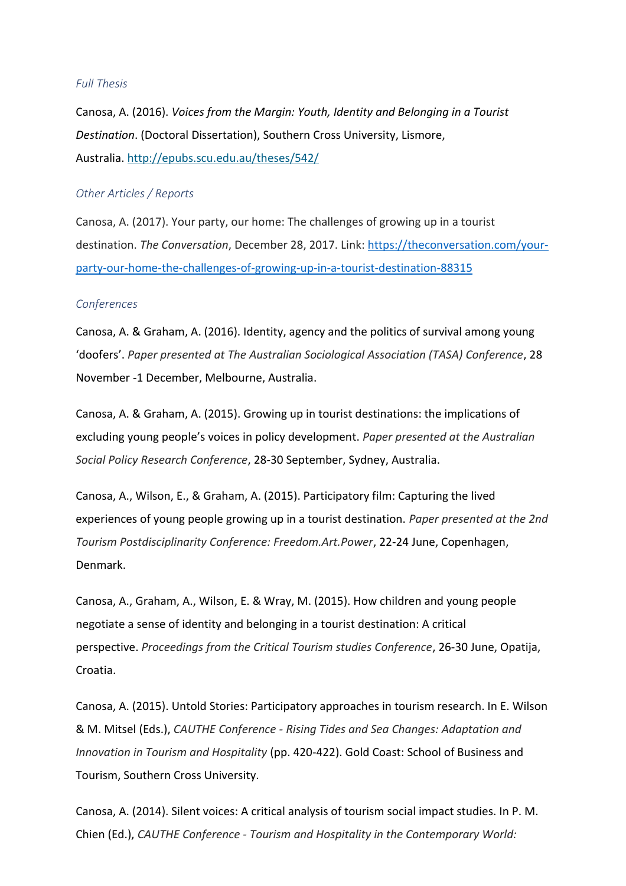### *Full Thesis*

Canosa, A. (2016). *Voices from the Margin: Youth, Identity and Belonging in a Tourist Destination*. (Doctoral Dissertation), Southern Cross University, Lismore, Australia. <http://epubs.scu.edu.au/theses/542/>

#### *Other Articles / Reports*

Canosa, A. (2017). Your party, our home: The challenges of growing up in a tourist destination. *The Conversation*, December 28, 2017. Link: [https://theconversation.com/your](https://theconversation.com/your-party-our-home-the-challenges-of-growing-up-in-a-tourist-destination-88315)[party-our-home-the-challenges-of-growing-up-in-a-tourist-destination-88315](https://theconversation.com/your-party-our-home-the-challenges-of-growing-up-in-a-tourist-destination-88315)

#### *Conferences*

Canosa, A. & Graham, A. (2016). Identity, agency and the politics of survival among young 'doofers'. *Paper presented at The Australian Sociological Association (TASA) Conference*, 28 November -1 December, Melbourne, Australia.

Canosa, A. & Graham, A. (2015). Growing up in tourist destinations: the implications of excluding young people's voices in policy development. *Paper presented at the Australian Social Policy Research Conference*, 28-30 September, Sydney, Australia.

Canosa, A., Wilson, E., & Graham, A. (2015). Participatory film: Capturing the lived experiences of young people growing up in a tourist destination. *Paper presented at the 2nd Tourism Postdisciplinarity Conference: Freedom.Art.Power*, 22-24 June, Copenhagen, Denmark.

Canosa, A., Graham, A., Wilson, E. & Wray, M. (2015). How children and young people negotiate a sense of identity and belonging in a tourist destination: A critical perspective. *Proceedings from the Critical Tourism studies Conference*, 26-30 June, Opatija, Croatia.

Canosa, A. (2015). Untold Stories: Participatory approaches in tourism research. In E. Wilson & M. Mitsel (Eds.), *CAUTHE Conference - Rising Tides and Sea Changes: Adaptation and Innovation in Tourism and Hospitality* (pp. 420-422). Gold Coast: School of Business and Tourism, Southern Cross University.

Canosa, A. (2014). Silent voices: A critical analysis of tourism social impact studies. In P. M. Chien (Ed.), *CAUTHE Conference - Tourism and Hospitality in the Contemporary World:*